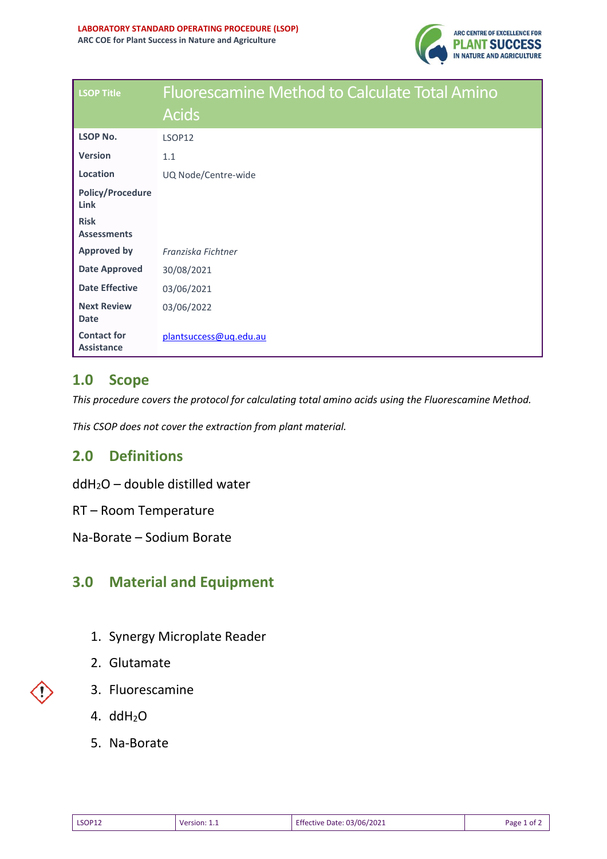

| <b>LSOP Title</b>                       | <b>Fluorescamine Method to Calculate Total Amino</b> |
|-----------------------------------------|------------------------------------------------------|
|                                         | <b>Acids</b>                                         |
| <b>LSOP No.</b>                         | LSOP12                                               |
| <b>Version</b>                          | 1.1                                                  |
| Location                                | UQ Node/Centre-wide                                  |
| <b>Policy/Procedure</b><br>Link         |                                                      |
| <b>Risk</b><br><b>Assessments</b>       |                                                      |
| <b>Approved by</b>                      | Franziska Fichtner                                   |
| <b>Date Approved</b>                    | 30/08/2021                                           |
| <b>Date Effective</b>                   | 03/06/2021                                           |
| <b>Next Review</b><br><b>Date</b>       | 03/06/2022                                           |
| <b>Contact for</b><br><b>Assistance</b> | plantsuccess@uq.edu.au                               |

## **1.0 Scope**

*This procedure covers the protocol for calculating total amino acids using the Fluorescamine Method.*

*This CSOP does not cover the extraction from plant material.*

## **2.0 Definitions**

ddH2O – double distilled water

RT – Room Temperature

Na-Borate – Sodium Borate

## **3.0 Material and Equipment**

- 1. Synergy Microplate Reader
- 2. Glutamate
- 3. Fluorescamine
- 4. ddH2O
- 5. Na-Borate

| <b>LSOP12</b> | <b>Version:</b> 1.1<br>______ | <b>Effective Date: 03/06/2021</b> | Page 1<br>0t |
|---------------|-------------------------------|-----------------------------------|--------------|
|---------------|-------------------------------|-----------------------------------|--------------|